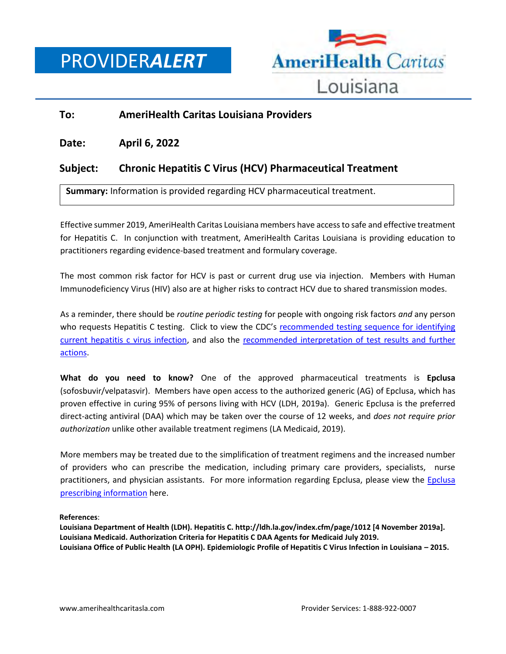

## **To: AmeriHealth Caritas Louisiana Providers**

**Date: April 6, 2022**

## **Subject: Chronic Hepatitis C Virus (HCV) Pharmaceutical Treatment**

**Summary:** Information is provided regarding HCV pharmaceutical treatment.

Effective summer 2019, AmeriHealth Caritas Louisiana members have access to safe and effective treatment for Hepatitis C. In conjunction with treatment, AmeriHealth Caritas Louisiana is providing education to practitioners regarding evidence-based treatment and formulary coverage.

The most common risk factor for HCV is past or current drug use via injection. Members with Human Immunodeficiency Virus (HIV) also are at higher risks to contract HCV due to shared transmission modes.

As a reminder, there should be *routine periodic testing* for people with ongoing risk factors *and* any person who requests Hepatitis C testing. Click to view the CDC's recommended testing sequence for identifying current [hepatitis c virus infection,](https://www.cdc.gov/hepatitis/hcv/pdfs/hcv_flow.pdf) and also the [recommended interpretation of test results and further](https://www.cdc.gov/hepatitis/hcv/pdfs/hcv_graph.pdf)  [actions.](https://www.cdc.gov/hepatitis/hcv/pdfs/hcv_graph.pdf)

**What do you need to know?** One of the approved pharmaceutical treatments is **Epclusa** (sofosbuvir/velpatasvir). Members have open access to the authorized generic (AG) of Epclusa, which has proven effective in curing 95% of persons living with HCV (LDH, 2019a). Generic Epclusa is the preferred direct-acting antiviral (DAA) which may be taken over the course of 12 weeks, and *does not require prior authorization* unlike other available treatment regimens (LA Medicaid, 2019).

More members may be treated due to the simplification of treatment regimens and the increased number of providers who can prescribe the medication, including primary care providers, specialists, nurse practitioners, and physician assistants. For more information regarding Epclusa, please view the Epclusa [prescribing information](https://www.gilead.com/~/media/Files/pdfs/medicines/liver-disease/epclusa/epclusa_pi.pdf) here.

## **References**:

**Louisiana Department of Health (LDH). Hepatitis C. http://ldh.la.gov/index.cfm/page/1012 [4 November 2019a]. Louisiana Medicaid. Authorization Criteria for Hepatitis C DAA Agents for Medicaid July 2019. Louisiana Office of Public Health (LA OPH). Epidemiologic Profile of Hepatitis C Virus Infection in Louisiana – 2015.**